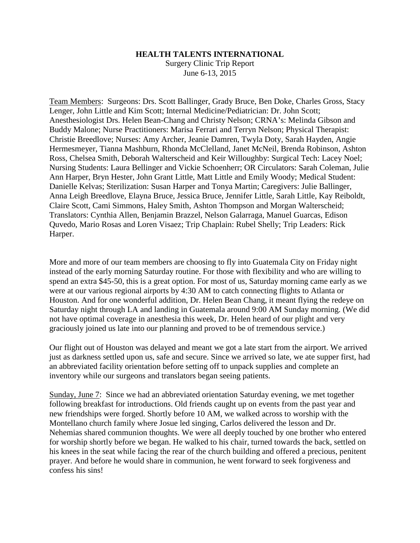## **HEALTH TALENTS INTERNATIONAL**

Surgery Clinic Trip Report June 6-13, 2015

Team Members: Surgeons: Drs. Scott Ballinger, Grady Bruce, Ben Doke, Charles Gross, Stacy Lenger, John Little and Kim Scott; Internal Medicine/Pediatrician: Dr. John Scott; Anesthesiologist Drs. Helen Bean-Chang and Christy Nelson; CRNA's: Melinda Gibson and Buddy Malone; Nurse Practitioners: Marisa Ferrari and Terryn Nelson; Physical Therapist: Christie Breedlove; Nurses: Amy Archer, Jeanie Damren, Twyla Doty, Sarah Hayden, Angie Hermesmeyer, Tianna Mashburn, Rhonda McClelland, Janet McNeil, Brenda Robinson, Ashton Ross, Chelsea Smith, Deborah Walterscheid and Keir Willoughby: Surgical Tech: Lacey Noel; Nursing Students: Laura Bellinger and Vickie Schoenherr; OR Circulators: Sarah Coleman, Julie Ann Harper, Bryn Hester, John Grant Little, Matt Little and Emily Woody; Medical Student: Danielle Kelvas; Sterilization: Susan Harper and Tonya Martin; Caregivers: Julie Ballinger, Anna Leigh Breedlove, Elayna Bruce, Jessica Bruce, Jennifer Little, Sarah Little, Kay Reiboldt, Claire Scott, Cami Simmons, Haley Smith, Ashton Thompson and Morgan Walterscheid; Translators: Cynthia Allen, Benjamin Brazzel, Nelson Galarraga, Manuel Guarcas, Edison Quvedo, Mario Rosas and Loren Visaez; Trip Chaplain: Rubel Shelly; Trip Leaders: Rick Harper.

More and more of our team members are choosing to fly into Guatemala City on Friday night instead of the early morning Saturday routine. For those with flexibility and who are willing to spend an extra \$45-50, this is a great option. For most of us, Saturday morning came early as we were at our various regional airports by 4:30 AM to catch connecting flights to Atlanta or Houston. And for one wonderful addition, Dr. Helen Bean Chang, it meant flying the redeye on Saturday night through LA and landing in Guatemala around 9:00 AM Sunday morning. (We did not have optimal coverage in anesthesia this week, Dr. Helen heard of our plight and very graciously joined us late into our planning and proved to be of tremendous service.)

Our flight out of Houston was delayed and meant we got a late start from the airport. We arrived just as darkness settled upon us, safe and secure. Since we arrived so late, we ate supper first, had an abbreviated facility orientation before setting off to unpack supplies and complete an inventory while our surgeons and translators began seeing patients.

Sunday, June 7: Since we had an abbreviated orientation Saturday evening, we met together following breakfast for introductions. Old friends caught up on events from the past year and new friendships were forged. Shortly before 10 AM, we walked across to worship with the Montellano church family where Josue led singing, Carlos delivered the lesson and Dr. Nehemias shared communion thoughts. We were all deeply touched by one brother who entered for worship shortly before we began. He walked to his chair, turned towards the back, settled on his knees in the seat while facing the rear of the church building and offered a precious, penitent prayer. And before he would share in communion, he went forward to seek forgiveness and confess his sins!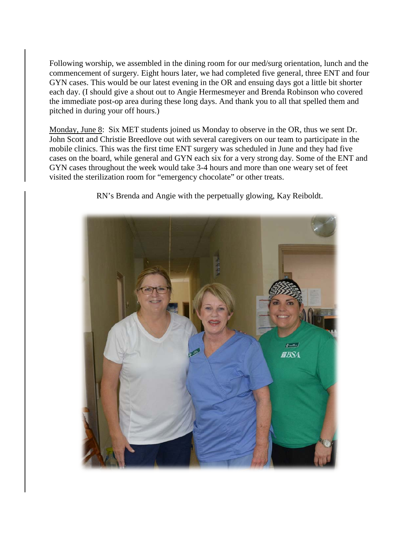Following worship, we assembled in the dining room for our med/surg orientation, lunch and the commencement of surgery. Eight hours later, we had completed five general, three ENT and four GYN cases. This would be our latest evening in the OR and ensuing days got a little bit shorter each day. (I should give a shout out to Angie Hermesmeyer and Brenda Robinson who covered the immediate post-op area during these long days. And thank you to all that spelled them and pitched in during your off hours.)

Monday, June 8: Six MET students joined us Monday to observe in the OR, thus we sent Dr. John Scott and Christie Breedlove out with several caregivers on our team to participate in the mobile clinics. This was the first time ENT surgery was scheduled in June and they had five cases on the board, while general and GYN each six for a very strong day. Some of the ENT and GYN cases throughout the week would take 3-4 hours and more than one weary set of feet visited the sterilization room for "emergency chocolate" or other treats.



RN's Brenda and Angie with the perpetually glowing, Kay Reiboldt.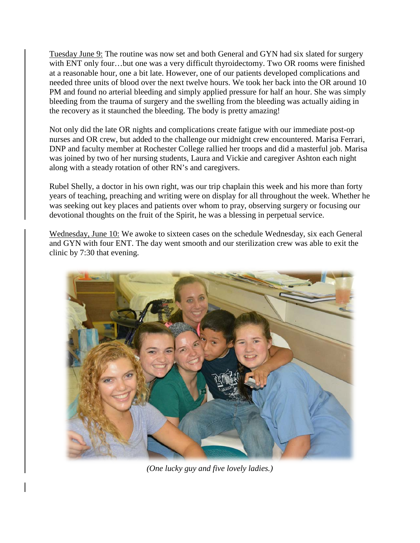Tuesday June 9: The routine was now set and both General and GYN had six slated for surgery with ENT only four…but one was a very difficult thyroidectomy. Two OR rooms were finished at a reasonable hour, one a bit late. However, one of our patients developed complications and needed three units of blood over the next twelve hours. We took her back into the OR around 10 PM and found no arterial bleeding and simply applied pressure for half an hour. She was simply bleeding from the trauma of surgery and the swelling from the bleeding was actually aiding in the recovery as it staunched the bleeding. The body is pretty amazing!

Not only did the late OR nights and complications create fatigue with our immediate post-op nurses and OR crew, but added to the challenge our midnight crew encountered. Marisa Ferrari, DNP and faculty member at Rochester College rallied her troops and did a masterful job. Marisa was joined by two of her nursing students, Laura and Vickie and caregiver Ashton each night along with a steady rotation of other RN's and caregivers.

Rubel Shelly, a doctor in his own right, was our trip chaplain this week and his more than forty years of teaching, preaching and writing were on display for all throughout the week. Whether he was seeking out key places and patients over whom to pray, observing surgery or focusing our devotional thoughts on the fruit of the Spirit, he was a blessing in perpetual service.

Wednesday, June 10: We awoke to sixteen cases on the schedule Wednesday, six each General and GYN with four ENT. The day went smooth and our sterilization crew was able to exit the clinic by 7:30 that evening.



*(One lucky guy and five lovely ladies.)*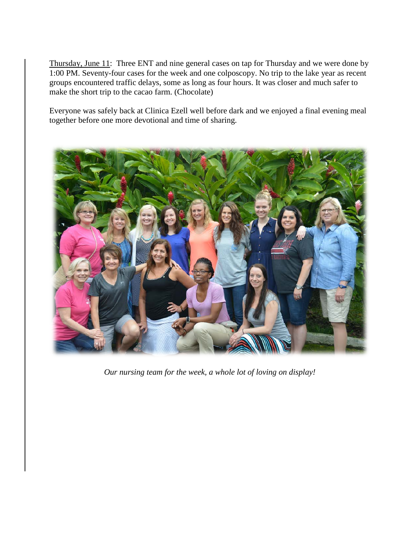Thursday, June 11: Three ENT and nine general cases on tap for Thursday and we were done by 1:00 PM. Seventy-four cases for the week and one colposcopy. No trip to the lake year as recent groups encountered traffic delays, some as long as four hours. It was closer and much safer to make the short trip to the cacao farm. (Chocolate)

Everyone was safely back at Clinica Ezell well before dark and we enjoyed a final evening meal together before one more devotional and time of sharing.



*Our nursing team for the week, a whole lot of loving on display!*